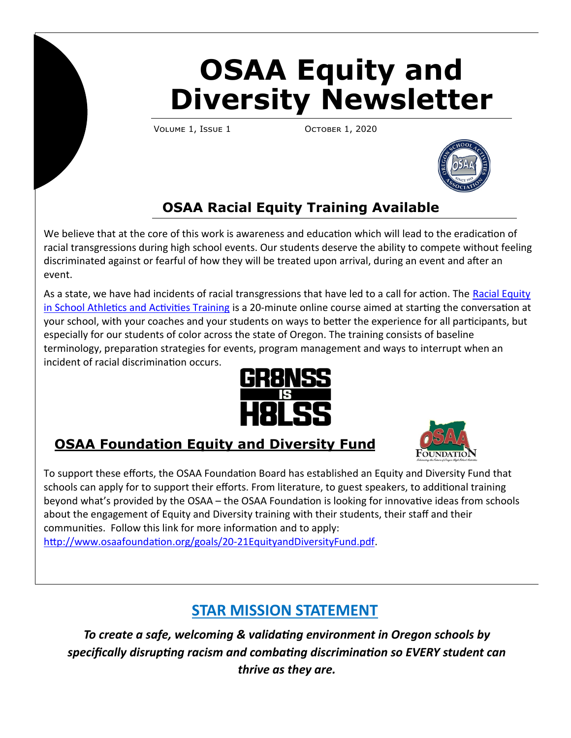# **OSAA Equity and Diversity Newsletter**

VOLUME 1, ISSUE 1 OCTOBER 1, 2020



## **OSAA Racial Equity Training Available**

We believe that at the core of this work is awareness and education which will lead to the eradication of racial transgressions during high school events. Our students deserve the ability to compete without feeling discriminated against or fearful of how they will be treated upon arrival, during an event and after an event.

As a state, we have had incidents of racial transgressions that have led to a call for action. The [Racial Equity](http://www.osaa.org/demo/training-courses/racial-equity/index.html)  [in School Athletics and Activities Training](http://www.osaa.org/demo/training-courses/racial-equity/index.html) is a 20-minute online course aimed at starting the conversation at your school, with your coaches and your students on ways to better the experience for all participants, but especially for our students of color across the state of Oregon. The training consists of baseline terminology, preparation strategies for events, program management and ways to interrupt when an incident of racial discrimination occurs.



#### **OSAA Foundation Equity and Diversity Fund**



To support these efforts, the OSAA Foundation Board has established an Equity and Diversity Fund that schools can apply for to support their efforts. From literature, to guest speakers, to additional training beyond what's provided by the OSAA – the OSAA Foundation is looking for innovative ideas from schools about the engagement of Equity and Diversity training with their students, their staff and their communities. Follow this link for more information and to apply: [http://www.osaafoundation.org/goals/20](http://www.osaafoundation.org/goals/20-21EquityandDiversityFund.pdf)-21EquityandDiversityFund.pdf.

## **STAR MISSION STATEMENT**

*To create a safe, welcoming & validating environment in Oregon schools by specifically disrupting racism and combating discrimination so EVERY student can thrive as they are.*